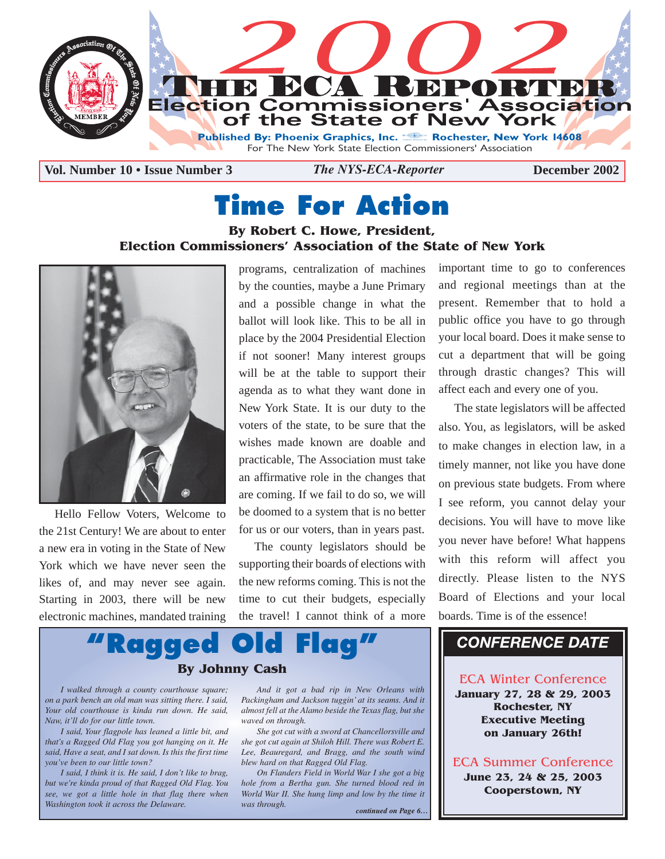

**Vol. Number 10 • Issue Number 3 December 2002** *The NYS-ECA-Reporter*

# **Time For Action**

#### **By Robert C. Howe, President, Election Commissioners' Association of the State of New York**



Hello Fellow Voters, Welcome to the 21st Century! We are about to enter a new era in voting in the State of New York which we have never seen the likes of, and may never see again. Starting in 2003, there will be new electronic machines, mandated training

programs, centralization of machines by the counties, maybe a June Primary and a possible change in what the ballot will look like. This to be all in place by the 2004 Presidential Election if not sooner! Many interest groups will be at the table to support their agenda as to what they want done in New York State. It is our duty to the voters of the state, to be sure that the wishes made known are doable and practicable, The Association must take an affirmative role in the changes that are coming. If we fail to do so, we will be doomed to a system that is no better for us or our voters, than in years past.

The county legislators should be supporting their boards of elections with the new reforms coming. This is not the time to cut their budgets, especially the travel! I cannot think of a more

important time to go to conferences and regional meetings than at the present. Remember that to hold a public office you have to go through your local board. Does it make sense to cut a department that will be going through drastic changes? This will affect each and every one of you.

The state legislators will be affected also. You, as legislators, will be asked to make changes in election law, in a timely manner, not like you have done on previous state budgets. From where I see reform, you cannot delay your decisions. You will have to move like you never have before! What happens with this reform will affect you directly. Please listen to the NYS Board of Elections and your local boards. Time is of the essence!

## **"Ragged Old Flag" By Johnny Cash**

*I walked through a county courthouse square; on a park bench an old man was sitting there. I said, Your old courthouse is kinda run down. He said, Naw, it'll do for our little town.*

*I said, Your flagpole has leaned a little bit, and that's a Ragged Old Flag you got hanging on it. He said, Have a seat, and I sat down. Is this the first time you've been to our little town?*

*I said, I think it is. He said, I don't like to brag, but we're kinda proud of that Ragged Old Flag. You see, we got a little hole in that flag there when Washington took it across the Delaware.*

*And it got a bad rip in New Orleans with Packingham and Jackson tuggin' at its seams. And it almost fell at the Alamo beside the Texas flag, but she waved on through.*

*She got cut with a sword at Chancellorsville and she got cut again at Shiloh Hill. There was Robert E. Lee, Beauregard, and Bragg, and the south wind blew hard on that Ragged Old Flag.*

*On Flanders Field in World War I she got a big hole from a Bertha gun. She turned blood red in World War II. She hung limp and low by the time it was through. continued on Page 6…*

ECA Winter Conference

*CONFERENCE DATE*

**January 27, 28 & 29, 2003 Rochester, NY Executive Meeting on January 26th!**

ECA Summer Conference **June 23, 24 & 25, 2003 Cooperstown, NY**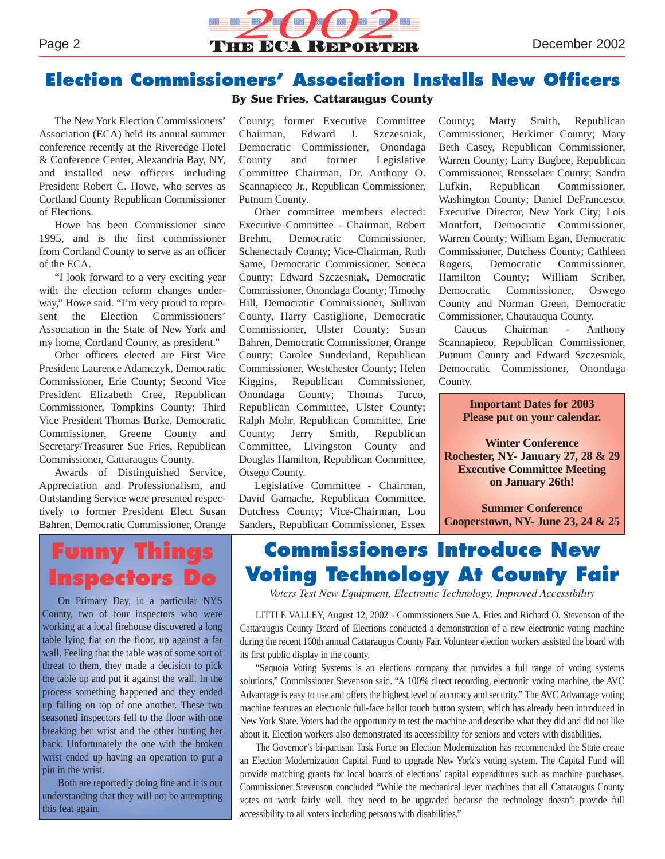

## **Election Commissioners' Association Installs New Officers**

#### **By Sue Fries, Cattaraugus County**

The New York Election Commissioners' Association (ECA) held its annual summer conference recently at the Riveredge Hotel & Conference Center, Alexandria Bay, NY, and installed new officers including President Robert C. Howe, who serves as Cortland County Republican Commissioner of Elections.

Howe has been Commissioner since 1995, and is the first commissioner from Cortland County to serve as an officer of the ECA.

"I look forward to a very exciting year with the election reform changes underway," Howe said. "I'm very proud to represent the Election Commissioners' Association in the State of New York and my home, Cortland County, as president."

Other officers elected are First Vice President Laurence Adamczyk, Democratic Commissioner, Erie County; Second Vice President Elizabeth Cree, Republican Commissioner, Tompkins County; Third Vice President Thomas Burke, Democratic Commissioner, Greene County and Secretary/Treasurer Sue Fries, Republican Commissioner, Cattaraugus County.

Awards of Distinguished Service, Appreciation and Professionalism, and Outstanding Service were presented respectively to former President Elect Susan Bahren, Democratic Commissioner, Orange

County; former Executive Committee Chairman, Edward J. Szczesniak, Democratic Commissioner, Onondaga County and former Legislative Committee Chairman, Dr. Anthony O. Scannapieco Jr., Republican Commissioner, Putnum County.

Other committee members elected: Executive Committee - Chairman, Robert Brehm, Democratic Commissioner, Schenectady County; Vice-Chairman, Ruth Same, Democratic Commissioner, Seneca County; Edward Szczesniak, Democratic Commissioner, Onondaga County; Timothy Hill, Democratic Commissioner, Sullivan County, Harry Castiglione, Democratic Commissioner, Ulster County; Susan Bahren, Democratic Commissioner, Orange County; Carolee Sunderland, Republican Commissioner, Westchester County; Helen Kiggins, Republican Commissioner, Onondaga County; Thomas Turco, Republican Committee, Ulster County; Ralph Mohr, Republican Committee, Erie County; Jerry Smith, Republican Committee, Livingston County and Douglas Hamilton, Republican Committee, Otsego County.

Legislative Committee - Chairman, David Gamache, Republican Committee, Dutchess County; Vice-Chairman, Lou Sanders, Republican Commissioner, Essex

County; Marty Smith, Republican Commissioner, Herkimer County; Mary Beth Casey, Republican Commissioner, Warren County; Larry Bugbee, Republican Commissioner, Rensselaer County; Sandra Lufkin, Republican Commissioner, Washington County; Daniel DeFrancesco, Executive Director, New York City; Lois Montfort, Democratic Commissioner, Warren County; William Egan, Democratic Commissioner, Dutchess County; Cathleen Rogers, Democratic Commissioner, Hamilton County; William Scriber, Democratic Commissioner, Oswego County and Norman Green, Democratic Commissioner, Chautauqua County.

Caucus Chairman - Anthony Scannapieco, Republican Commissioner, Putnum County and Edward Szczesniak, Democratic Commissioner, Onondaga County.

> **Important Dates for 2003 Please put on your calendar.**

**Winter Conference Rochester, NY- January 27, 28 & 29 Executive Committee Meeting on January 26th!**

**Summer Conference Cooperstown, NY- June 23, 24 & 25**

# **Funny Things Inspectors Do**

On Primary Day, in a particular NYS County, two of four inspectors who were working at a local firehouse discovered a long table lying flat on the floor, up against a far wall. Feeling that the table was of some sort of threat to them, they made a decision to pick the table up and put it against the wall. In the process something happened and they ended up falling on top of one another. These two seasoned inspectors fell to the floor with one breaking her wrist and the other hurting her back. Unfortunately the one with the broken wrist ended up having an operation to put a pin in the wrist.

Both are reportedly doing fine and it is our understanding that they will not be attempting this feat again.

# **Commissioners Introduce New Voting Technology At County Fair**

*Voters Test New Equipment, Electronic Technology, Improved Accessibility*

LITTLE VALLEY, August 12, 2002 - Commissioners Sue A. Fries and Richard O. Stevenson of the Cattaraugus County Board of Elections conducted a demonstration of a new electronic voting machine during the recent 160th annual Cattaraugus County Fair. Volunteer election workers assisted the board with its first public display in the county.

"Sequoia Voting Systems is an elections company that provides a full range of voting systems solutions," Commissioner Stevenson said. "A 100% direct recording, electronic voting machine, the AVC Advantage is easy to use and offers the highest level of accuracy and security." The AVC Advantage voting machine features an electronic full-face ballot touch button system, which has already been introduced in New York State. Voters had the opportunity to test the machine and describe what they did and did not like about it. Election workers also demonstrated its accessibility for seniors and voters with disabilities.

The Governor's bi-partisan Task Force on Election Modernization has recommended the State create an Election Modernization Capital Fund to upgrade New York's voting system. The Capital Fund will provide matching grants for local boards of elections' capital expenditures such as machine purchases. Commissioner Stevenson concluded "While the mechanical lever machines that all Cattaraugus County votes on work fairly well, they need to be upgraded because the technology doesn't provide full accessibility to all voters including persons with disabilities."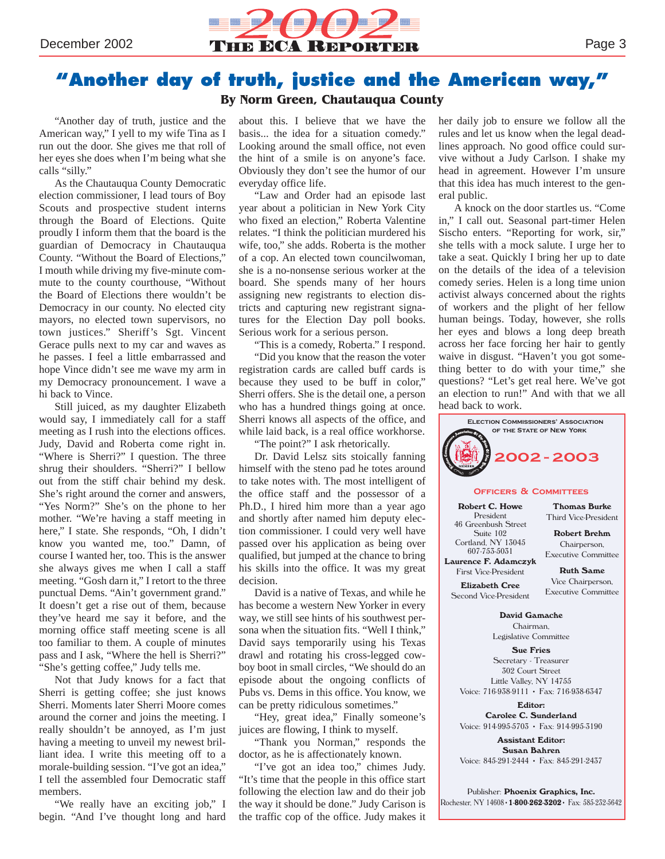

# **"Another day of truth, justice and the American way,"**

#### **By Norm Green, Chautauqua County**

"Another day of truth, justice and the American way," I yell to my wife Tina as I run out the door. She gives me that roll of her eyes she does when I'm being what she calls "silly."

As the Chautauqua County Democratic election commissioner, I lead tours of Boy Scouts and prospective student interns through the Board of Elections. Quite proudly I inform them that the board is the guardian of Democracy in Chautauqua County. "Without the Board of Elections," I mouth while driving my five-minute commute to the county courthouse, "Without the Board of Elections there wouldn't be Democracy in our county. No elected city mayors, no elected town supervisors, no town justices." Sheriff's Sgt. Vincent Gerace pulls next to my car and waves as he passes. I feel a little embarrassed and hope Vince didn't see me wave my arm in my Democracy pronouncement. I wave a hi back to Vince.

Still juiced, as my daughter Elizabeth would say, I immediately call for a staff meeting as I rush into the elections offices. Judy, David and Roberta come right in. "Where is Sherri?" I question. The three shrug their shoulders. "Sherri?" I bellow out from the stiff chair behind my desk. She's right around the corner and answers, "Yes Norm?" She's on the phone to her mother. "We're having a staff meeting in here," I state. She responds, "Oh, I didn't know you wanted me, too." Damn, of course I wanted her, too. This is the answer she always gives me when I call a staff meeting. "Gosh darn it," I retort to the three punctual Dems. "Ain't government grand." It doesn't get a rise out of them, because they've heard me say it before, and the morning office staff meeting scene is all too familiar to them. A couple of minutes pass and I ask, "Where the hell is Sherri?" "She's getting coffee," Judy tells me.

Not that Judy knows for a fact that Sherri is getting coffee; she just knows Sherri. Moments later Sherri Moore comes around the corner and joins the meeting. I really shouldn't be annoyed, as I'm just having a meeting to unveil my newest brilliant idea. I write this meeting off to a morale-building session. "I've got an idea," I tell the assembled four Democratic staff members.

"We really have an exciting job," I begin. "And I've thought long and hard about this. I believe that we have the basis... the idea for a situation comedy." Looking around the small office, not even the hint of a smile is on anyone's face. Obviously they don't see the humor of our everyday office life.

"Law and Order had an episode last year about a politician in New York City who fixed an election," Roberta Valentine relates. "I think the politician murdered his wife, too," she adds. Roberta is the mother of a cop. An elected town councilwoman, she is a no-nonsense serious worker at the board. She spends many of her hours assigning new registrants to election districts and capturing new registrant signatures for the Election Day poll books. Serious work for a serious person.

"This is a comedy, Roberta." I respond.

"Did you know that the reason the voter registration cards are called buff cards is because they used to be buff in color," Sherri offers. She is the detail one, a person who has a hundred things going at once. Sherri knows all aspects of the office, and while laid back, is a real office workhorse.

"The point?" I ask rhetorically.

Dr. David Lelsz sits stoically fanning himself with the steno pad he totes around to take notes with. The most intelligent of the office staff and the possessor of a Ph.D., I hired him more than a year ago and shortly after named him deputy election commissioner. I could very well have passed over his application as being over qualified, but jumped at the chance to bring his skills into the office. It was my great decision.

David is a native of Texas, and while he has become a western New Yorker in every way, we still see hints of his southwest persona when the situation fits. "Well I think," David says temporarily using his Texas drawl and rotating his cross-legged cowboy boot in small circles, "We should do an episode about the ongoing conflicts of Pubs vs. Dems in this office. You know, we can be pretty ridiculous sometimes."

"Hey, great idea," Finally someone's juices are flowing, I think to myself.

"Thank you Norman," responds the doctor, as he is affectionately known.

"I've got an idea too," chimes Judy. "It's time that the people in this office start following the election law and do their job the way it should be done." Judy Carison is the traffic cop of the office. Judy makes it her daily job to ensure we follow all the rules and let us know when the legal deadlines approach. No good office could survive without a Judy Carlson. I shake my head in agreement. However I'm unsure that this idea has much interest to the general public.

A knock on the door startles us. "Come in," I call out. Seasonal part-timer Helen Sischo enters. "Reporting for work, sir," she tells with a mock salute. I urge her to take a seat. Quickly I bring her up to date on the details of the idea of a television comedy series. Helen is a long time union activist always concerned about the rights of workers and the plight of her fellow human beings. Today, however, she rolls her eyes and blows a long deep breath across her face forcing her hair to gently waive in disgust. "Haven't you got something better to do with your time," she questions? "Let's get real here. We've got an election to run!" And with that we all head back to work.



**Editor: Carolee C. Sunderland** Voice: 914-995-5703 • Fax: 914-995-3190

**Assistant Editor: Susan Bahren** Voice: 845-291-2444 • Fax: 845-291-2437

Publisher: **Phoenix Graphics, Inc.** Rochester, NY 14608•**1-800-262-3202**• Fax: 585-232-5642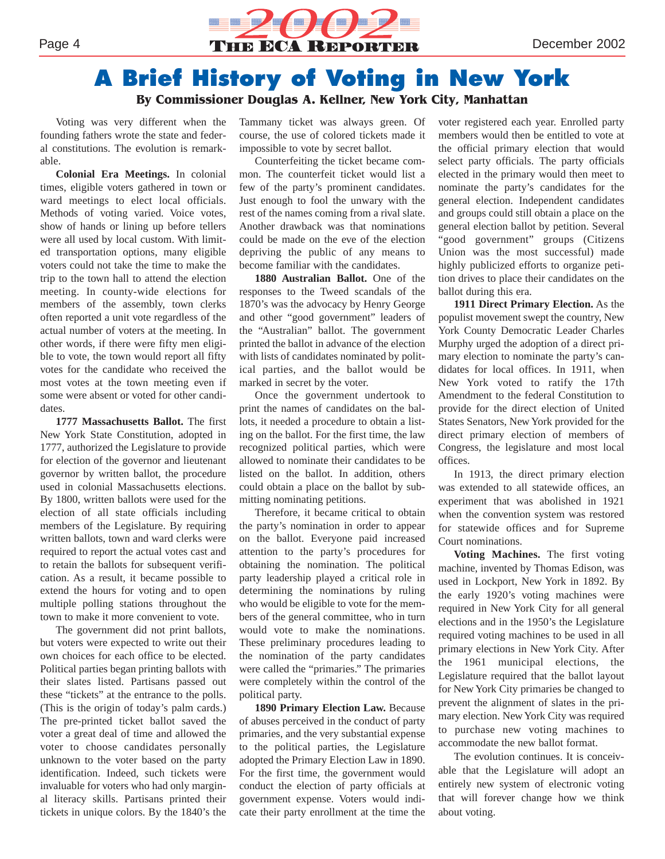

# **A Brief History of Voting in New York**

#### **By Commissioner Douglas A. Kellner, New York City, Manhattan**

Voting was very different when the founding fathers wrote the state and federal constitutions. The evolution is remarkable.

**Colonial Era Meetings.** In colonial times, eligible voters gathered in town or ward meetings to elect local officials. Methods of voting varied. Voice votes, show of hands or lining up before tellers were all used by local custom. With limited transportation options, many eligible voters could not take the time to make the trip to the town hall to attend the election meeting. In county-wide elections for members of the assembly, town clerks often reported a unit vote regardless of the actual number of voters at the meeting. In other words, if there were fifty men eligible to vote, the town would report all fifty votes for the candidate who received the most votes at the town meeting even if some were absent or voted for other candidates.

**1777 Massachusetts Ballot.** The first New York State Constitution, adopted in 1777, authorized the Legislature to provide for election of the governor and lieutenant governor by written ballot, the procedure used in colonial Massachusetts elections. By 1800, written ballots were used for the election of all state officials including members of the Legislature. By requiring written ballots, town and ward clerks were required to report the actual votes cast and to retain the ballots for subsequent verification. As a result, it became possible to extend the hours for voting and to open multiple polling stations throughout the town to make it more convenient to vote.

The government did not print ballots, but voters were expected to write out their own choices for each office to be elected. Political parties began printing ballots with their slates listed. Partisans passed out these "tickets" at the entrance to the polls. (This is the origin of today's palm cards.) The pre-printed ticket ballot saved the voter a great deal of time and allowed the voter to choose candidates personally unknown to the voter based on the party identification. Indeed, such tickets were invaluable for voters who had only marginal literacy skills. Partisans printed their tickets in unique colors. By the 1840's the

Tammany ticket was always green. Of course, the use of colored tickets made it impossible to vote by secret ballot.

Counterfeiting the ticket became common. The counterfeit ticket would list a few of the party's prominent candidates. Just enough to fool the unwary with the rest of the names coming from a rival slate. Another drawback was that nominations could be made on the eve of the election depriving the public of any means to become familiar with the candidates.

**1880 Australian Ballot.** One of the responses to the Tweed scandals of the 1870's was the advocacy by Henry George and other "good government" leaders of the "Australian" ballot. The government printed the ballot in advance of the election with lists of candidates nominated by political parties, and the ballot would be marked in secret by the voter.

Once the government undertook to print the names of candidates on the ballots, it needed a procedure to obtain a listing on the ballot. For the first time, the law recognized political parties, which were allowed to nominate their candidates to be listed on the ballot. In addition, others could obtain a place on the ballot by submitting nominating petitions.

Therefore, it became critical to obtain the party's nomination in order to appear on the ballot. Everyone paid increased attention to the party's procedures for obtaining the nomination. The political party leadership played a critical role in determining the nominations by ruling who would be eligible to vote for the members of the general committee, who in turn would vote to make the nominations. These preliminary procedures leading to the nomination of the party candidates were called the "primaries." The primaries were completely within the control of the political party.

**1890 Primary Election Law.** Because of abuses perceived in the conduct of party primaries, and the very substantial expense to the political parties, the Legislature adopted the Primary Election Law in 1890. For the first time, the government would conduct the election of party officials at government expense. Voters would indicate their party enrollment at the time the

voter registered each year. Enrolled party members would then be entitled to vote at the official primary election that would select party officials. The party officials elected in the primary would then meet to nominate the party's candidates for the general election. Independent candidates and groups could still obtain a place on the general election ballot by petition. Several "good government" groups (Citizens Union was the most successful) made highly publicized efforts to organize petition drives to place their candidates on the ballot during this era.

**1911 Direct Primary Election.** As the populist movement swept the country, New York County Democratic Leader Charles Murphy urged the adoption of a direct primary election to nominate the party's candidates for local offices. In 1911, when New York voted to ratify the 17th Amendment to the federal Constitution to provide for the direct election of United States Senators, New York provided for the direct primary election of members of Congress, the legislature and most local offices.

In 1913, the direct primary election was extended to all statewide offices, an experiment that was abolished in 1921 when the convention system was restored for statewide offices and for Supreme Court nominations.

**Voting Machines.** The first voting machine, invented by Thomas Edison, was used in Lockport, New York in 1892. By the early 1920's voting machines were required in New York City for all general elections and in the 1950's the Legislature required voting machines to be used in all primary elections in New York City. After the 1961 municipal elections, the Legislature required that the ballot layout for New York City primaries be changed to prevent the alignment of slates in the primary election. New York City was required to purchase new voting machines to accommodate the new ballot format.

The evolution continues. It is conceivable that the Legislature will adopt an entirely new system of electronic voting that will forever change how we think about voting.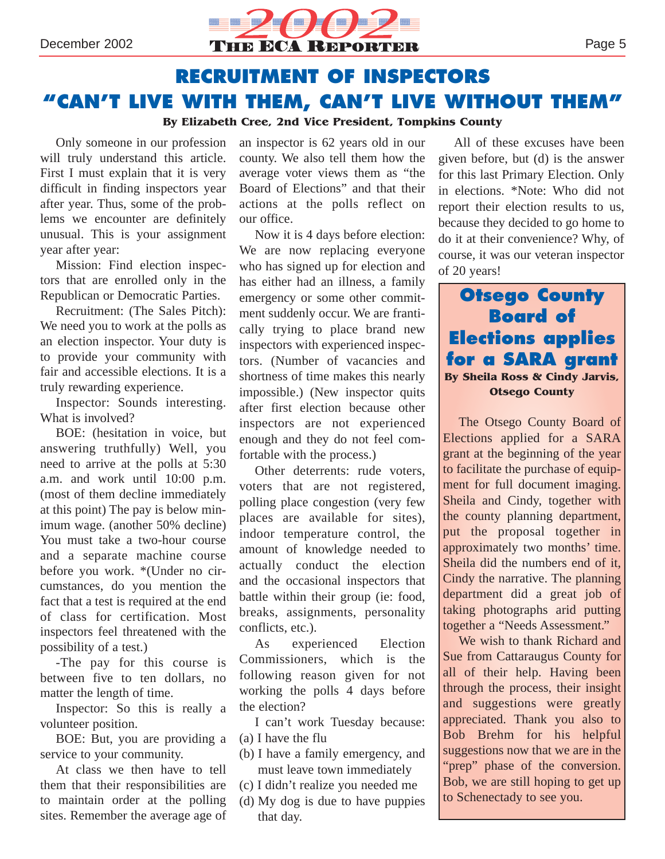

## **RECRUITMENT OF INSPECTORS "CAN'T LIVE WITH THEM, CAN'T LIVE WITHOUT THEM" By Elizabeth Cree, 2nd Vice President, Tompkins County**

Only someone in our profession will truly understand this article. First I must explain that it is very difficult in finding inspectors year after year. Thus, some of the problems we encounter are definitely unusual. This is your assignment year after year:

Mission: Find election inspectors that are enrolled only in the Republican or Democratic Parties.

Recruitment: (The Sales Pitch): We need you to work at the polls as an election inspector. Your duty is to provide your community with fair and accessible elections. It is a truly rewarding experience.

Inspector: Sounds interesting. What is involved?

BOE: (hesitation in voice, but answering truthfully) Well, you need to arrive at the polls at 5:30 a.m. and work until 10:00 p.m. (most of them decline immediately at this point) The pay is below minimum wage. (another 50% decline) You must take a two-hour course and a separate machine course before you work. \*(Under no circumstances, do you mention the fact that a test is required at the end of class for certification. Most inspectors feel threatened with the possibility of a test.)

-The pay for this course is between five to ten dollars, no matter the length of time.

Inspector: So this is really a volunteer position.

BOE: But, you are providing a service to your community.

At class we then have to tell them that their responsibilities are to maintain order at the polling sites. Remember the average age of an inspector is 62 years old in our county. We also tell them how the average voter views them as "the Board of Elections" and that their actions at the polls reflect on our office.

Now it is 4 days before election: We are now replacing everyone who has signed up for election and has either had an illness, a family emergency or some other commitment suddenly occur. We are frantically trying to place brand new inspectors with experienced inspectors. (Number of vacancies and shortness of time makes this nearly impossible.) (New inspector quits after first election because other inspectors are not experienced enough and they do not feel comfortable with the process.)

Other deterrents: rude voters, voters that are not registered, polling place congestion (very few places are available for sites), indoor temperature control, the amount of knowledge needed to actually conduct the election and the occasional inspectors that battle within their group (ie: food, breaks, assignments, personality conflicts, etc.).

As experienced Election Commissioners, which is the following reason given for not working the polls 4 days before the election?

I can't work Tuesday because: (a) I have the flu

- (b) I have a family emergency, and must leave town immediately
- (c) I didn't realize you needed me
- (d) My dog is due to have puppies that day.

All of these excuses have been given before, but (d) is the answer for this last Primary Election. Only in elections. \*Note: Who did not report their election results to us, because they decided to go home to do it at their convenience? Why, of course, it was our veteran inspector of 20 years!

**Otsego County Board of Elections applies for a SARA grant By Sheila Ross & Cindy Jarvis, Otsego County**

The Otsego County Board of Elections applied for a SARA grant at the beginning of the year to facilitate the purchase of equipment for full document imaging. Sheila and Cindy, together with the county planning department, put the proposal together in approximately two months' time. Sheila did the numbers end of it, Cindy the narrative. The planning department did a great job of taking photographs arid putting together a "Needs Assessment."

We wish to thank Richard and Sue from Cattaraugus County for all of their help. Having been through the process, their insight and suggestions were greatly appreciated. Thank you also to Bob Brehm for his helpful suggestions now that we are in the "prep" phase of the conversion. Bob, we are still hoping to get up to Schenectady to see you.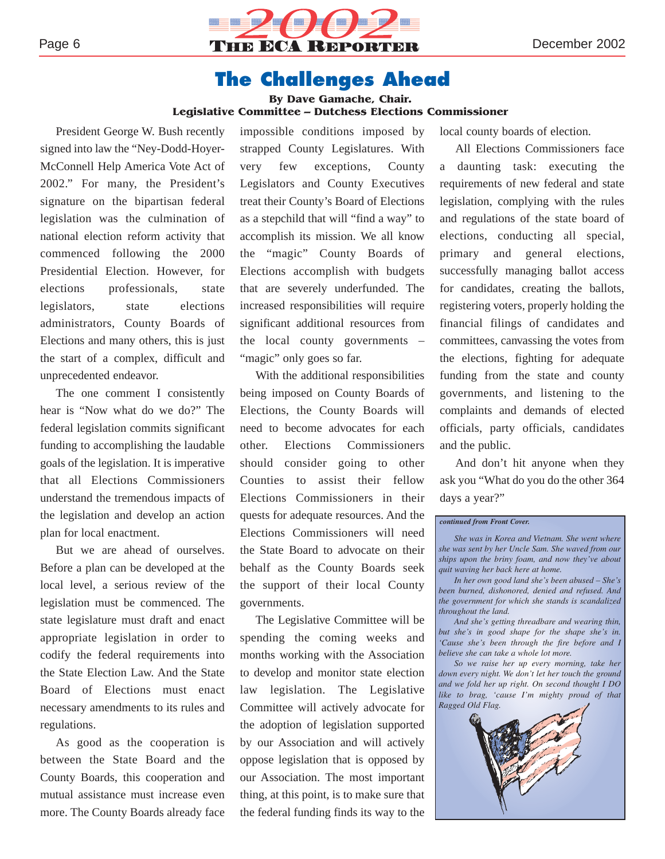

## **The Challenges Ahead**

#### **By Dave Gamache, Chair. Legislative Committee – Dutchess Elections Commissioner**

President George W. Bush recently signed into law the "Ney-Dodd-Hoyer-McConnell Help America Vote Act of 2002." For many, the President's signature on the bipartisan federal legislation was the culmination of national election reform activity that commenced following the 2000 Presidential Election. However, for elections professionals, state legislators, state elections administrators, County Boards of Elections and many others, this is just the start of a complex, difficult and unprecedented endeavor.

The one comment I consistently hear is "Now what do we do?" The federal legislation commits significant funding to accomplishing the laudable goals of the legislation. It is imperative that all Elections Commissioners understand the tremendous impacts of the legislation and develop an action plan for local enactment.

But we are ahead of ourselves. Before a plan can be developed at the local level, a serious review of the legislation must be commenced. The state legislature must draft and enact appropriate legislation in order to codify the federal requirements into the State Election Law. And the State Board of Elections must enact necessary amendments to its rules and regulations.

As good as the cooperation is between the State Board and the County Boards, this cooperation and mutual assistance must increase even more. The County Boards already face impossible conditions imposed by strapped County Legislatures. With very few exceptions, County Legislators and County Executives treat their County's Board of Elections as a stepchild that will "find a way" to accomplish its mission. We all know the "magic" County Boards of Elections accomplish with budgets that are severely underfunded. The increased responsibilities will require significant additional resources from the local county governments – "magic" only goes so far.

With the additional responsibilities being imposed on County Boards of Elections, the County Boards will need to become advocates for each other. Elections Commissioners should consider going to other Counties to assist their fellow Elections Commissioners in their quests for adequate resources. And the Elections Commissioners will need the State Board to advocate on their behalf as the County Boards seek the support of their local County governments.

The Legislative Committee will be spending the coming weeks and months working with the Association to develop and monitor state election law legislation. The Legislative Committee will actively advocate for the adoption of legislation supported by our Association and will actively oppose legislation that is opposed by our Association. The most important thing, at this point, is to make sure that the federal funding finds its way to the

local county boards of election.

All Elections Commissioners face a daunting task: executing the requirements of new federal and state legislation, complying with the rules and regulations of the state board of elections, conducting all special, primary and general elections, successfully managing ballot access for candidates, creating the ballots, registering voters, properly holding the financial filings of candidates and committees, canvassing the votes from the elections, fighting for adequate funding from the state and county governments, and listening to the complaints and demands of elected officials, party officials, candidates and the public.

And don't hit anyone when they ask you "What do you do the other 364 days a year?"

#### *continued from Front Cover.*

*She was in Korea and Vietnam. She went where she was sent by her Uncle Sam. She waved from our ships upon the briny foam, and now they've about quit waving her back here at home.*

*In her own good land she's been abused – She's been burned, dishonored, denied and refused. And the government for which she stands is scandalized throughout the land.*

*And she's getting threadbare and wearing thin, but she's in good shape for the shape she's in. 'Cause she's been through the fire before and I believe she can take a whole lot more.*

*So we raise her up every morning, take her down every night. We don't let her touch the ground and we fold her up right. On second thought I DO like to brag, 'cause I'm mighty proud of that Ragged Old Flag.*

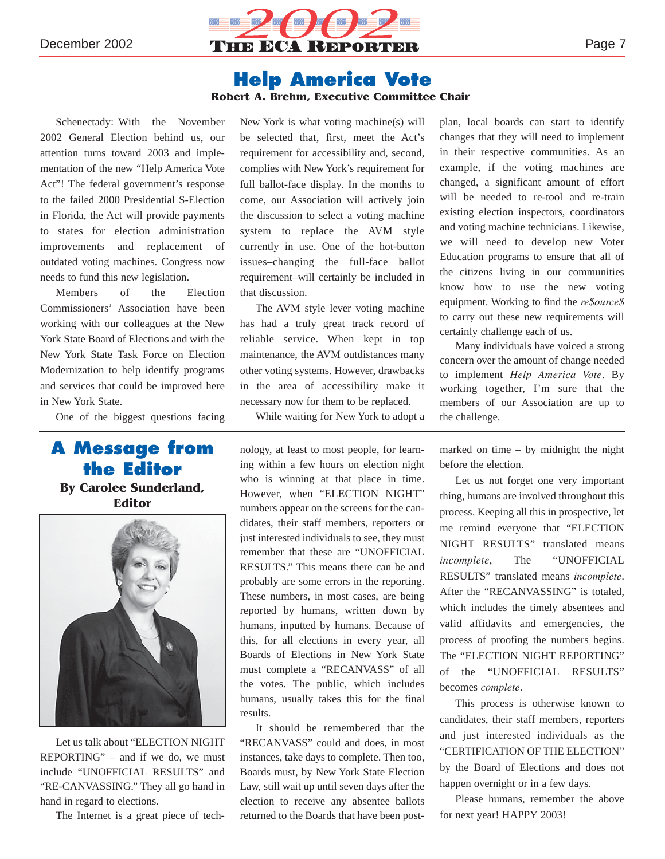

## **Help America Vote**

#### **Robert A. Brehm, Executive Committee Chair**

Schenectady: With the November 2002 General Election behind us, our attention turns toward 2003 and implementation of the new "Help America Vote Act"! The federal government's response to the failed 2000 Presidential S-Election in Florida, the Act will provide payments to states for election administration improvements and replacement of outdated voting machines. Congress now needs to fund this new legislation.

Members of the Election Commissioners' Association have been working with our colleagues at the New York State Board of Elections and with the New York State Task Force on Election Modernization to help identify programs and services that could be improved here in New York State.

One of the biggest questions facing

### **A Message from the Editor By Carolee Sunderland,**

**Editor**



Let us talk about "ELECTION NIGHT REPORTING" – and if we do, we must include "UNOFFICIAL RESULTS" and "RE-CANVASSING." They all go hand in hand in regard to elections.

The Internet is a great piece of tech-

New York is what voting machine(s) will be selected that, first, meet the Act's requirement for accessibility and, second, complies with New York's requirement for full ballot-face display. In the months to come, our Association will actively join the discussion to select a voting machine system to replace the AVM style currently in use. One of the hot-button issues–changing the full-face ballot requirement–will certainly be included in that discussion.

The AVM style lever voting machine has had a truly great track record of reliable service. When kept in top maintenance, the AVM outdistances many other voting systems. However, drawbacks in the area of accessibility make it necessary now for them to be replaced.

While waiting for New York to adopt a

nology, at least to most people, for learning within a few hours on election night who is winning at that place in time. However, when "ELECTION NIGHT" numbers appear on the screens for the candidates, their staff members, reporters or just interested individuals to see, they must remember that these are "UNOFFICIAL RESULTS." This means there can be and probably are some errors in the reporting. These numbers, in most cases, are being reported by humans, written down by humans, inputted by humans. Because of this, for all elections in every year, all Boards of Elections in New York State must complete a "RECANVASS" of all the votes. The public, which includes humans, usually takes this for the final results.

It should be remembered that the "RECANVASS" could and does, in most instances, take days to complete. Then too, Boards must, by New York State Election Law, still wait up until seven days after the election to receive any absentee ballots returned to the Boards that have been post-

plan, local boards can start to identify changes that they will need to implement in their respective communities. As an example, if the voting machines are changed, a significant amount of effort will be needed to re-tool and re-train existing election inspectors, coordinators and voting machine technicians. Likewise, we will need to develop new Voter Education programs to ensure that all of the citizens living in our communities know how to use the new voting equipment. Working to find the *re\$ource\$* to carry out these new requirements will certainly challenge each of us.

Many individuals have voiced a strong concern over the amount of change needed to implement *Help America Vote*. By working together, I'm sure that the members of our Association are up to the challenge.

marked on time – by midnight the night before the election.

Let us not forget one very important thing, humans are involved throughout this process. Keeping all this in prospective, let me remind everyone that "ELECTION NIGHT RESULTS" translated means *incomplete*, The "UNOFFICIAL RESULTS" translated means *incomplete*. After the "RECANVASSING" is totaled, which includes the timely absentees and valid affidavits and emergencies, the process of proofing the numbers begins. The "ELECTION NIGHT REPORTING" of the "UNOFFICIAL RESULTS" becomes *complete*.

This process is otherwise known to candidates, their staff members, reporters and just interested individuals as the "CERTIFICATION OF THE ELECTION" by the Board of Elections and does not happen overnight or in a few days.

Please humans, remember the above for next year! HAPPY 2003!